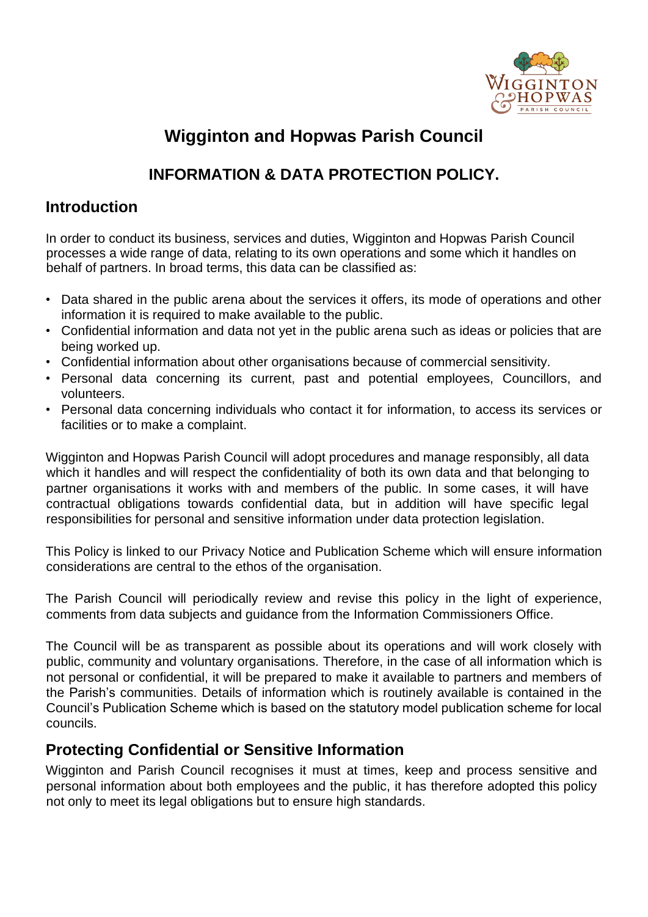

# **Wigginton and Hopwas Parish Council**

# **INFORMATION & DATA PROTECTION POLICY.**

### **Introduction**

In order to conduct its business, services and duties, Wigginton and Hopwas Parish Council processes a wide range of data, relating to its own operations and some which it handles on behalf of partners. In broad terms, this data can be classified as:

- Data shared in the public arena about the services it offers, its mode of operations and other information it is required to make available to the public.
- Confidential information and data not yet in the public arena such as ideas or policies that are being worked up.
- Confidential information about other organisations because of commercial sensitivity.
- Personal data concerning its current, past and potential employees, Councillors, and volunteers.
- Personal data concerning individuals who contact it for information, to access its services or facilities or to make a complaint.

Wigginton and Hopwas Parish Council will adopt procedures and manage responsibly, all data which it handles and will respect the confidentiality of both its own data and that belonging to partner organisations it works with and members of the public. In some cases, it will have contractual obligations towards confidential data, but in addition will have specific legal responsibilities for personal and sensitive information under data protection legislation.

This Policy is linked to our Privacy Notice and Publication Scheme which will ensure information considerations are central to the ethos of the organisation.

The Parish Council will periodically review and revise this policy in the light of experience, comments from data subjects and guidance from the Information Commissioners Office.

The Council will be as transparent as possible about its operations and will work closely with public, community and voluntary organisations. Therefore, in the case of all information which is not personal or confidential, it will be prepared to make it available to partners and members of the Parish's communities. Details of information which is routinely available is contained in the Council's Publication Scheme which is based on the statutory model publication scheme for local councils.

### **Protecting Confidential or Sensitive Information**

Wigginton and Parish Council recognises it must at times, keep and process sensitive and personal information about both employees and the public, it has therefore adopted this policy not only to meet its legal obligations but to ensure high standards.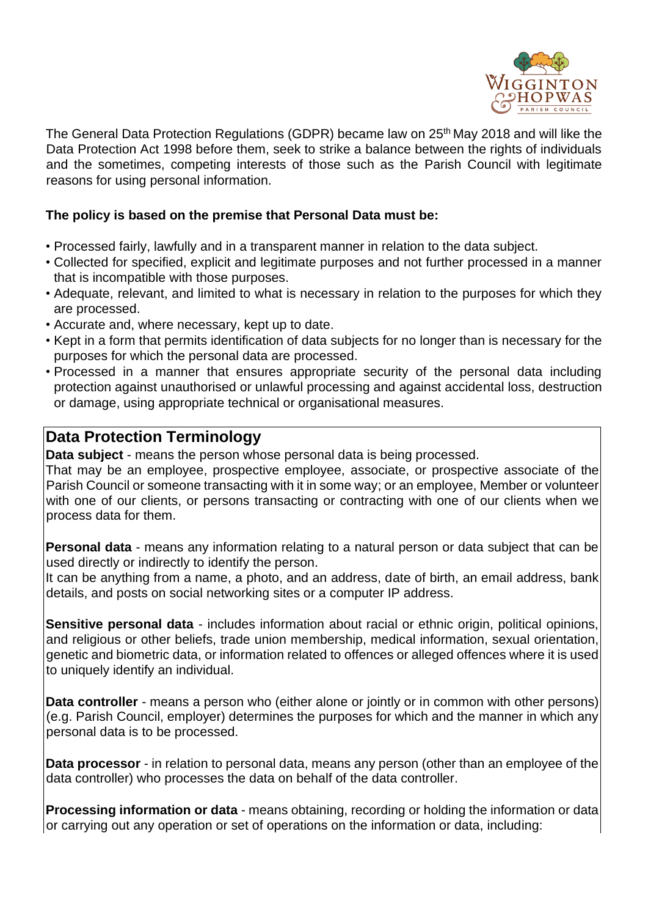

The General Data Protection Regulations (GDPR) became law on 25<sup>th</sup> May 2018 and will like the Data Protection Act 1998 before them, seek to strike a balance between the rights of individuals and the sometimes, competing interests of those such as the Parish Council with legitimate reasons for using personal information.

#### **The policy is based on the premise that Personal Data must be:**

- Processed fairly, lawfully and in a transparent manner in relation to the data subject.
- Collected for specified, explicit and legitimate purposes and not further processed in a manner that is incompatible with those purposes.
- Adequate, relevant, and limited to what is necessary in relation to the purposes for which they are processed.
- Accurate and, where necessary, kept up to date.
- Kept in a form that permits identification of data subjects for no longer than is necessary for the purposes for which the personal data are processed.
- Processed in a manner that ensures appropriate security of the personal data including protection against unauthorised or unlawful processing and against accidental loss, destruction or damage, using appropriate technical or organisational measures.

#### **Data Protection Terminology**

**Data subject** - means the person whose personal data is being processed.

That may be an employee, prospective employee, associate, or prospective associate of the Parish Council or someone transacting with it in some way; or an employee, Member or volunteer with one of our clients, or persons transacting or contracting with one of our clients when we process data for them.

**Personal data** - means any information relating to a natural person or data subject that can be used directly or indirectly to identify the person.

It can be anything from a name, a photo, and an address, date of birth, an email address, bank details, and posts on social networking sites or a computer IP address.

**Sensitive personal data** - includes information about racial or ethnic origin, political opinions, and religious or other beliefs, trade union membership, medical information, sexual orientation, genetic and biometric data, or information related to offences or alleged offences where it is used to uniquely identify an individual.

**Data controller** - means a person who (either alone or jointly or in common with other persons) (e.g. Parish Council, employer) determines the purposes for which and the manner in which any personal data is to be processed.

**Data processor** - in relation to personal data, means any person (other than an employee of the data controller) who processes the data on behalf of the data controller.

**Processing information or data** - means obtaining, recording or holding the information or data or carrying out any operation or set of operations on the information or data, including: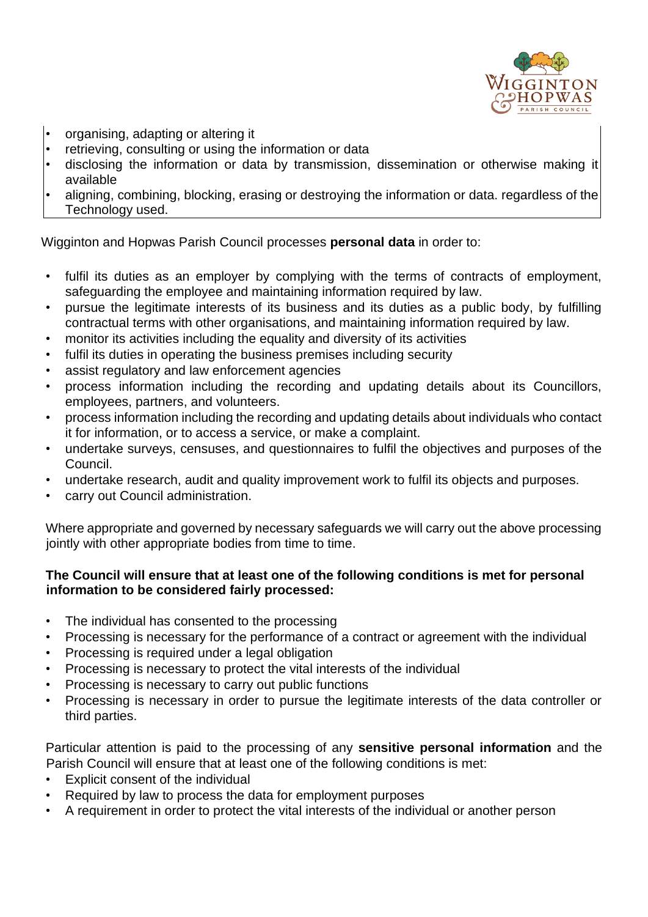

- organising, adapting or altering it
- retrieving, consulting or using the information or data<br>• disclosing the information or data by transmission
- disclosing the information or data by transmission, dissemination or otherwise making it available
- aligning, combining, blocking, erasing or destroying the information or data. regardless of the Technology used.

Wigginton and Hopwas Parish Council processes **personal data** in order to:

- fulfil its duties as an employer by complying with the terms of contracts of employment, safeguarding the employee and maintaining information required by law.
- pursue the legitimate interests of its business and its duties as a public body, by fulfilling contractual terms with other organisations, and maintaining information required by law.
- monitor its activities including the equality and diversity of its activities
- fulfil its duties in operating the business premises including security
- assist regulatory and law enforcement agencies
- process information including the recording and updating details about its Councillors, employees, partners, and volunteers.
- process information including the recording and updating details about individuals who contact it for information, or to access a service, or make a complaint.
- undertake surveys, censuses, and questionnaires to fulfil the objectives and purposes of the Council.
- undertake research, audit and quality improvement work to fulfil its objects and purposes.
- carry out Council administration.

Where appropriate and governed by necessary safeguards we will carry out the above processing jointly with other appropriate bodies from time to time.

#### **The Council will ensure that at least one of the following conditions is met for personal information to be considered fairly processed:**

- The individual has consented to the processing
- Processing is necessary for the performance of a contract or agreement with the individual
- Processing is required under a legal obligation
- Processing is necessary to protect the vital interests of the individual
- Processing is necessary to carry out public functions
- Processing is necessary in order to pursue the legitimate interests of the data controller or third parties.

Particular attention is paid to the processing of any **sensitive personal information** and the Parish Council will ensure that at least one of the following conditions is met:

- Explicit consent of the individual
- Required by law to process the data for employment purposes
- A requirement in order to protect the vital interests of the individual or another person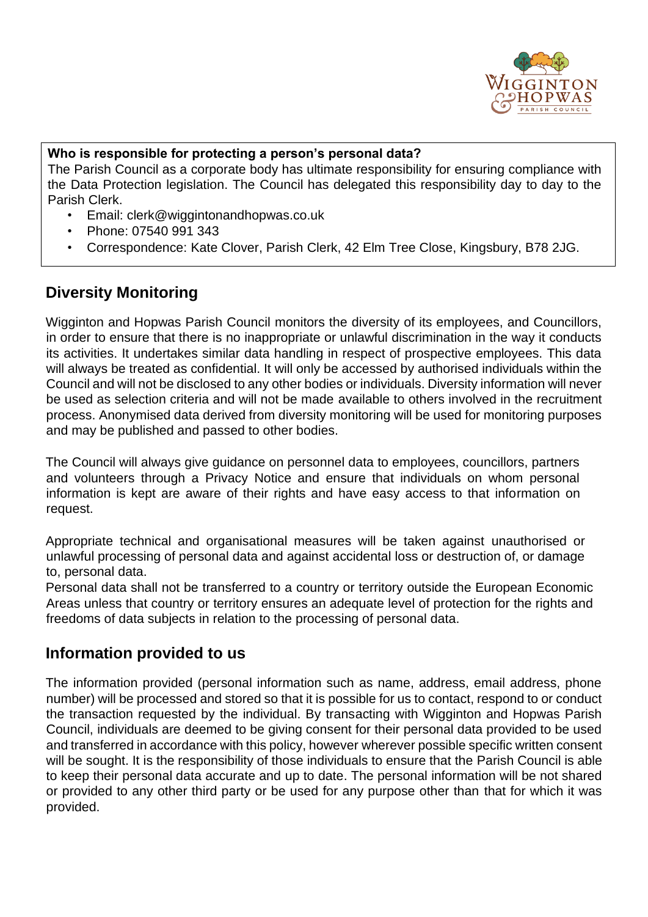

#### **Who is responsible for protecting a person's personal data?**

The Parish Council as a corporate body has ultimate responsibility for ensuring compliance with the Data Protection legislation. The Council has delegated this responsibility day to day to the Parish Clerk.

- Email: clerk@wiggintonandhopwas.co.uk
- Phone: 07540 991 343
- Correspondence: Kate Clover, Parish Clerk, 42 Elm Tree Close, Kingsbury, B78 2JG.

# **Diversity Monitoring**

Wigginton and Hopwas Parish Council monitors the diversity of its employees, and Councillors, in order to ensure that there is no inappropriate or unlawful discrimination in the way it conducts its activities. It undertakes similar data handling in respect of prospective employees. This data will always be treated as confidential. It will only be accessed by authorised individuals within the Council and will not be disclosed to any other bodies or individuals. Diversity information will never be used as selection criteria and will not be made available to others involved in the recruitment process. Anonymised data derived from diversity monitoring will be used for monitoring purposes and may be published and passed to other bodies.

The Council will always give guidance on personnel data to employees, councillors, partners and volunteers through a Privacy Notice and ensure that individuals on whom personal information is kept are aware of their rights and have easy access to that information on request.

Appropriate technical and organisational measures will be taken against unauthorised or unlawful processing of personal data and against accidental loss or destruction of, or damage to, personal data.

Personal data shall not be transferred to a country or territory outside the European Economic Areas unless that country or territory ensures an adequate level of protection for the rights and freedoms of data subjects in relation to the processing of personal data.

### **Information provided to us**

The information provided (personal information such as name, address, email address, phone number) will be processed and stored so that it is possible for us to contact, respond to or conduct the transaction requested by the individual. By transacting with Wigginton and Hopwas Parish Council, individuals are deemed to be giving consent for their personal data provided to be used and transferred in accordance with this policy, however wherever possible specific written consent will be sought. It is the responsibility of those individuals to ensure that the Parish Council is able to keep their personal data accurate and up to date. The personal information will be not shared or provided to any other third party or be used for any purpose other than that for which it was provided.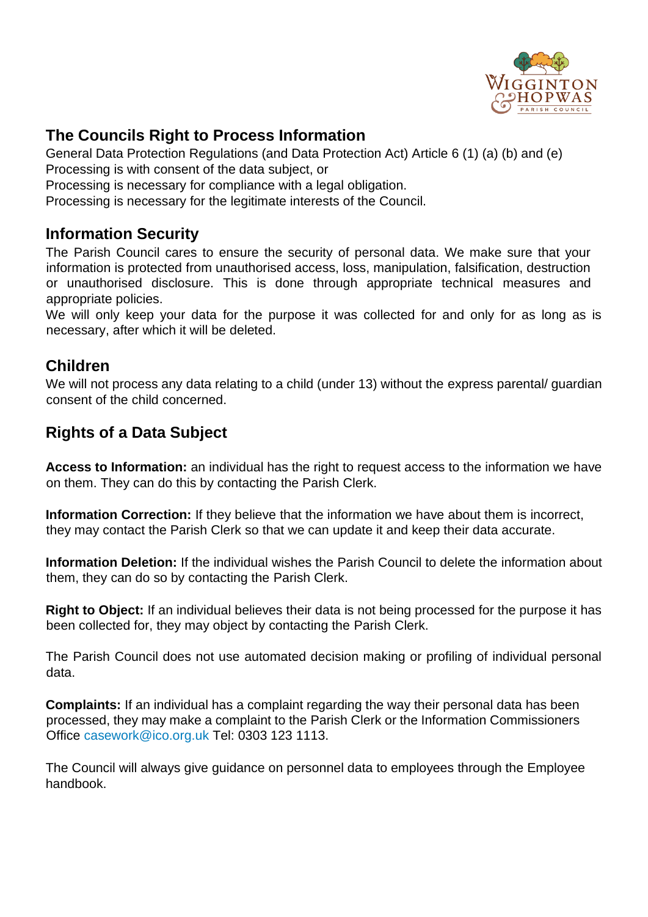

# **The Councils Right to Process Information**

General Data Protection Regulations (and Data Protection Act) Article 6 (1) (a) (b) and (e) Processing is with consent of the data subject, or

Processing is necessary for compliance with a legal obligation.

Processing is necessary for the legitimate interests of the Council.

### **Information Security**

The Parish Council cares to ensure the security of personal data. We make sure that your information is protected from unauthorised access, loss, manipulation, falsification, destruction or unauthorised disclosure. This is done through appropriate technical measures and appropriate policies.

We will only keep your data for the purpose it was collected for and only for as long as is necessary, after which it will be deleted.

### **Children**

We will not process any data relating to a child (under 13) without the express parental/ quardian consent of the child concerned.

# **Rights of a Data Subject**

**Access to Information:** an individual has the right to request access to the information we have on them. They can do this by contacting the Parish Clerk.

**Information Correction:** If they believe that the information we have about them is incorrect, they may contact the Parish Clerk so that we can update it and keep their data accurate.

**Information Deletion:** If the individual wishes the Parish Council to delete the information about them, they can do so by contacting the Parish Clerk.

**Right to Object:** If an individual believes their data is not being processed for the purpose it has been collected for, they may object by contacting the Parish Clerk.

The Parish Council does not use automated decision making or profiling of individual personal data.

**Complaints:** If an individual has a complaint regarding the way their personal data has been processed, they may make a complaint to the Parish Clerk or the Information Commissioners Office casework@ico.org.uk Tel: 0303 123 1113.

The Council will always give guidance on personnel data to employees through the Employee handbook.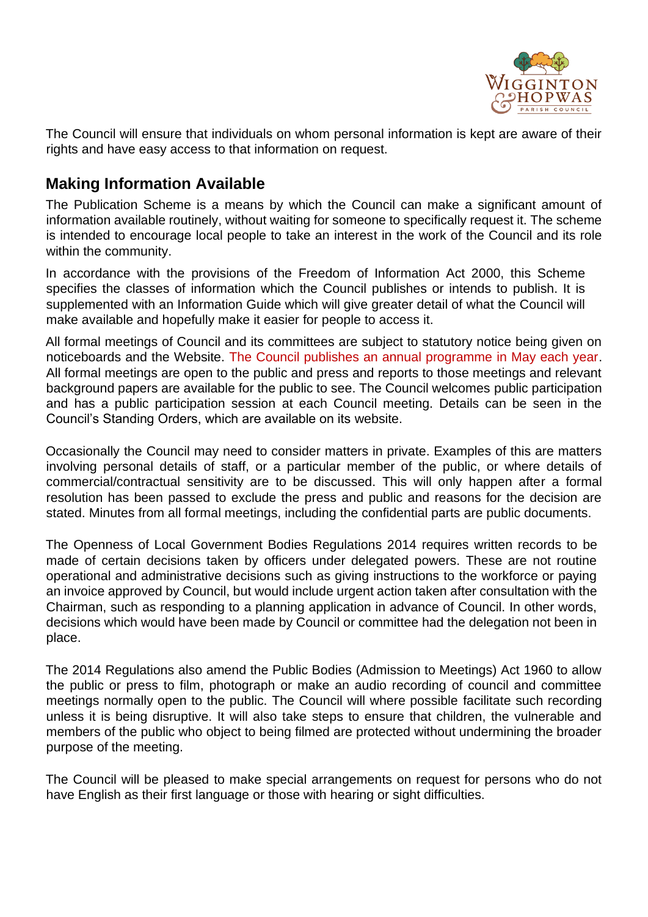

The Council will ensure that individuals on whom personal information is kept are aware of their rights and have easy access to that information on request.

### **Making Information Available**

The Publication Scheme is a means by which the Council can make a significant amount of information available routinely, without waiting for someone to specifically request it. The scheme is intended to encourage local people to take an interest in the work of the Council and its role within the community.

In accordance with the provisions of the Freedom of Information Act 2000, this Scheme specifies the classes of information which the Council publishes or intends to publish. It is supplemented with an Information Guide which will give greater detail of what the Council will make available and hopefully make it easier for people to access it.

All formal meetings of Council and its committees are subject to statutory notice being given on noticeboards and the Website. The Council publishes an annual programme in May each year. All formal meetings are open to the public and press and reports to those meetings and relevant background papers are available for the public to see. The Council welcomes public participation and has a public participation session at each Council meeting. Details can be seen in the Council's Standing Orders, which are available on its website.

Occasionally the Council may need to consider matters in private. Examples of this are matters involving personal details of staff, or a particular member of the public, or where details of commercial/contractual sensitivity are to be discussed. This will only happen after a formal resolution has been passed to exclude the press and public and reasons for the decision are stated. Minutes from all formal meetings, including the confidential parts are public documents.

The Openness of Local Government Bodies Regulations 2014 requires written records to be made of certain decisions taken by officers under delegated powers. These are not routine operational and administrative decisions such as giving instructions to the workforce or paying an invoice approved by Council, but would include urgent action taken after consultation with the Chairman, such as responding to a planning application in advance of Council. In other words, decisions which would have been made by Council or committee had the delegation not been in place.

The 2014 Regulations also amend the Public Bodies (Admission to Meetings) Act 1960 to allow the public or press to film, photograph or make an audio recording of council and committee meetings normally open to the public. The Council will where possible facilitate such recording unless it is being disruptive. It will also take steps to ensure that children, the vulnerable and members of the public who object to being filmed are protected without undermining the broader purpose of the meeting.

The Council will be pleased to make special arrangements on request for persons who do not have English as their first language or those with hearing or sight difficulties.